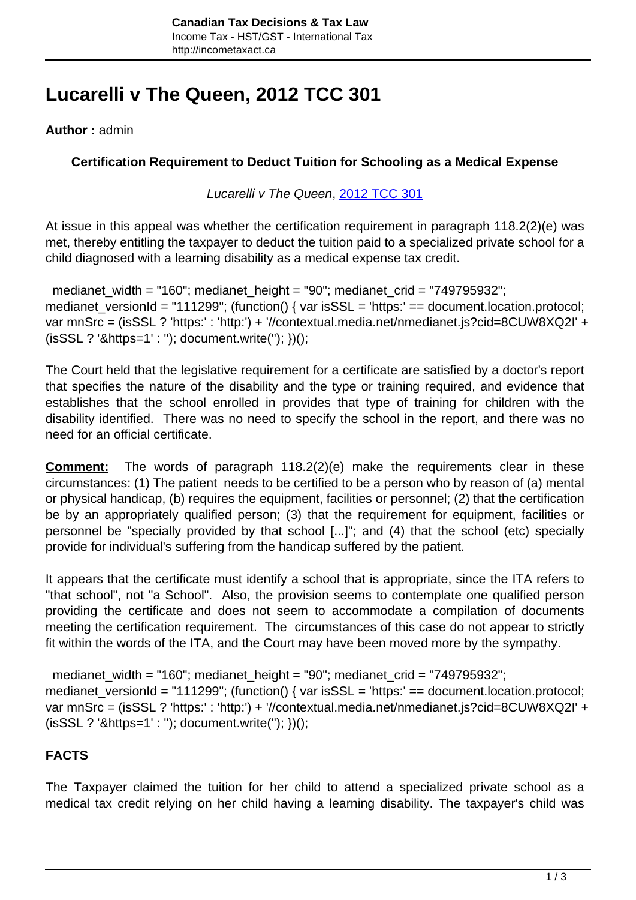# **Lucarelli v The Queen, 2012 TCC 301**

**Author :** admin

## **Certification Requirement to Deduct Tuition for Schooling as a Medical Expense**

### Lucarelli v The Queen, [2012 TCC 301](http://decision.tcc-cci.gc.ca/en/2012/2012tcc301/2012tcc301.html)

At issue in this appeal was whether the certification requirement in paragraph 118.2(2)(e) was met, thereby entitling the taxpayer to deduct the tuition paid to a specialized private school for a child diagnosed with a learning disability as a medical expense tax credit.

 medianet\_width = "160"; medianet\_height = "90"; medianet\_crid = "749795932"; medianet\_versionId = "111299"; (function() { var isSSL = 'https:' == document.location.protocol; var mnSrc = (isSSL ? 'https:' : 'http:') + '//contextual.media.net/nmedianet.js?cid=8CUW8XQ2I' + (isSSL ? '&https=1' : ''); document.write(''); })();

The Court held that the legislative requirement for a certificate are satisfied by a doctor's report that specifies the nature of the disability and the type or training required, and evidence that establishes that the school enrolled in provides that type of training for children with the disability identified. There was no need to specify the school in the report, and there was no need for an official certificate.

**Comment:** The words of paragraph 118.2(2)(e) make the requirements clear in these circumstances: (1) The patient needs to be certified to be a person who by reason of (a) mental or physical handicap, (b) requires the equipment, facilities or personnel; (2) that the certification be by an appropriately qualified person; (3) that the requirement for equipment, facilities or personnel be "specially provided by that school [...]"; and (4) that the school (etc) specially provide for individual's suffering from the handicap suffered by the patient.

It appears that the certificate must identify a school that is appropriate, since the ITA refers to "that school", not "a School". Also, the provision seems to contemplate one qualified person providing the certificate and does not seem to accommodate a compilation of documents meeting the certification requirement. The circumstances of this case do not appear to strictly fit within the words of the ITA, and the Court may have been moved more by the sympathy.

 medianet\_width = "160"; medianet\_height = "90"; medianet\_crid = "749795932"; medianet\_versionId = "111299"; (function() { var isSSL = 'https:' == document.location.protocol; var mnSrc = (isSSL ? 'https:' : 'http:') + '//contextual.media.net/nmedianet.js?cid=8CUW8XQ2I' + (isSSL ? '&https=1' : ''); document.write(''); })();

# **FACTS**

The Taxpayer claimed the tuition for her child to attend a specialized private school as a medical tax credit relying on her child having a learning disability. The taxpayer's child was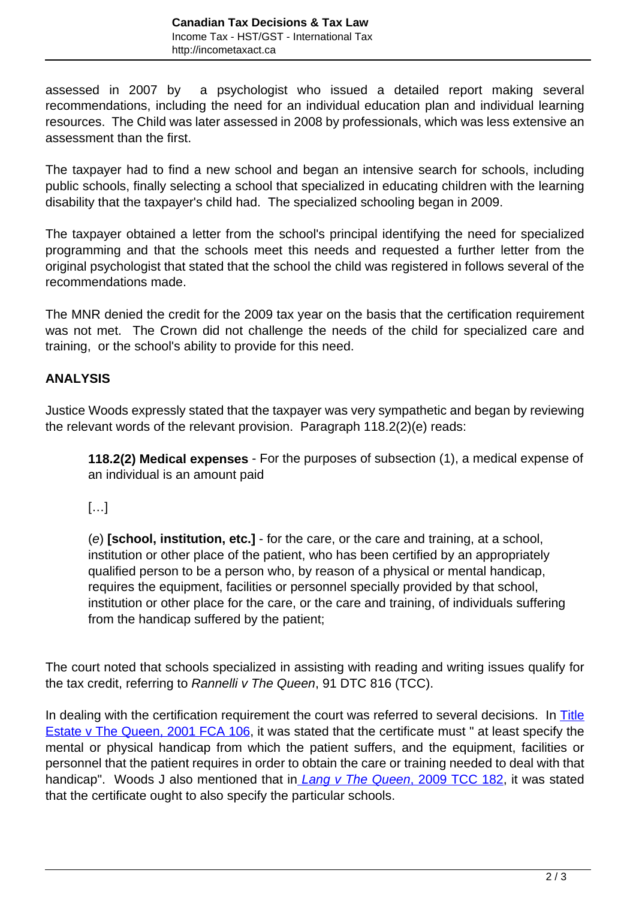assessed in 2007 by a psychologist who issued a detailed report making several recommendations, including the need for an individual education plan and individual learning resources. The Child was later assessed in 2008 by professionals, which was less extensive an assessment than the first.

The taxpayer had to find a new school and began an intensive search for schools, including public schools, finally selecting a school that specialized in educating children with the learning disability that the taxpayer's child had. The specialized schooling began in 2009.

The taxpayer obtained a letter from the school's principal identifying the need for specialized programming and that the schools meet this needs and requested a further letter from the original psychologist that stated that the school the child was registered in follows several of the recommendations made.

The MNR denied the credit for the 2009 tax year on the basis that the certification requirement was not met. The Crown did not challenge the needs of the child for specialized care and training, or the school's ability to provide for this need.

## **ANALYSIS**

Justice Woods expressly stated that the taxpayer was very sympathetic and began by reviewing the relevant words of the relevant provision. Paragraph 118.2(2)(e) reads:

**118.2(2) Medical expenses** - For the purposes of subsection (1), a medical expense of an individual is an amount paid

 $[\ldots]$ 

(e) **[school, institution, etc.]** - for the care, or the care and training, at a school, institution or other place of the patient, who has been certified by an appropriately qualified person to be a person who, by reason of a physical or mental handicap, requires the equipment, facilities or personnel specially provided by that school, institution or other place for the care, or the care and training, of individuals suffering from the handicap suffered by the patient;

The court noted that schools specialized in assisting with reading and writing issues qualify for the tax credit, referring to Rannelli v The Queen, 91 DTC 816 (TCC).

In dealing with the certification requirement the court was referred to several decisions. In [Title](http://canlii.ca/t/4k6n) [Estate v The Queen, 2001 FCA 106,](http://canlii.ca/t/4k6n) it was stated that the certificate must " at least specify the mental or physical handicap from which the patient suffers, and the equipment, facilities or personnel that the patient requires in order to obtain the care or training needed to deal with that handicap". Woods J also mentioned that in *[Lang v The Queen](http://canlii.ca/t/232gv)*[, 2009 TCC 182](http://canlii.ca/t/232gv), it was stated that the certificate ought to also specify the particular schools.